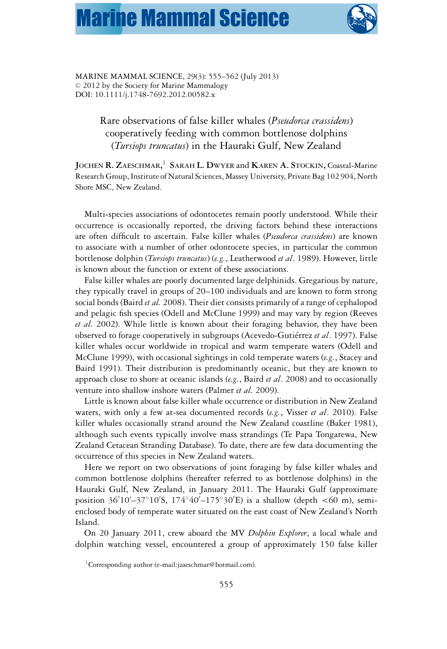## **Marine Mammal Science**



MARINE MAMMAL SCIENCE, 29(3): 555–562 (July 2013)  $\odot$  2012 by the Society for Marine Mammalogy DOI: 10.1111/j.1748-7692.2012.00582.x

## Rare observations of false killer whales (*Pseudorca crassidens*) cooperatively feeding with common bottlenose dolphins (*Tursiops truncatus*) in the Hauraki Gulf, New Zealand

**JOCHEN R. ZAESCHMAR,** <sup>1</sup> **SARAH L. DWYER** and **KAREN A. STOCKIN,** Coastal-Marine Research Group, Institute of Natural Sciences, Massey University, Private Bag 102 904, North Shore MSC, New Zealand.

Multi-species associations of odontocetes remain poorly understood. While their occurrence is occasionally reported, the driving factors behind these interactions are often difficult to ascertain. False killer whales (*Pseudorca crassidens*) are known to associate with a number of other odontocete species, in particular the common bottlenose dolphin (*Tursiops truncatus*) (*e.g.*, Leatherwood *et al*. 1989). However, little is known about the function or extent of these associations.

False killer whales are poorly documented large delphinids. Gregarious by nature, they typically travel in groups of 20–100 individuals and are known to form strong social bonds (Baird *et al.* 2008). Their diet consists primarily of a range of cephalopod and pelagic fish species (Odell and McClune 1999) and may vary by region (Reeves *et al.* 2002). While little is known about their foraging behavior, they have been observed to forage cooperatively in subgroups (Acevedo-Gutiérrez et al. 1997). False killer whales occur worldwide in tropical and warm temperate waters (Odell and McClune 1999), with occasional sightings in cold temperate waters (*e.g.*, Stacey and Baird 1991). Their distribution is predominantly oceanic, but they are known to approach close to shore at oceanic islands (*e.g.*, Baird *et al*. 2008) and to occasionally venture into shallow inshore waters (Palmer *et al.* 2009).

Little is known about false killer whale occurrence or distribution in New Zealand waters, with only a few at-sea documented records (*e.g.*, Visser *et al*. 2010). False killer whales occasionally strand around the New Zealand coastline (Baker 1981), although such events typically involve mass strandings (Te Papa Tongarewa, New Zealand Cetacean Stranding Database). To date, there are few data documenting the occurrence of this species in New Zealand waters.

Here we report on two observations of joint foraging by false killer whales and common bottlenose dolphins (hereafter referred to as bottlenose dolphins) in the Hauraki Gulf, New Zealand, in January 2011. The Hauraki Gulf (approximate position 36" 10'–37◦10" S, 174◦40" –175◦30" E) is a shallow (depth *<*60 m), semienclosed body of temperate water situated on the east coast of New Zealand's North Island.

On 20 January 2011, crew aboard the MV *Dolphin Explorer*, a local whale and dolphin watching vessel, encountered a group of approximately 150 false killer

<sup>&</sup>lt;sup>1</sup>Corresponding author (e-mail: jzaeschmar@hotmail.com).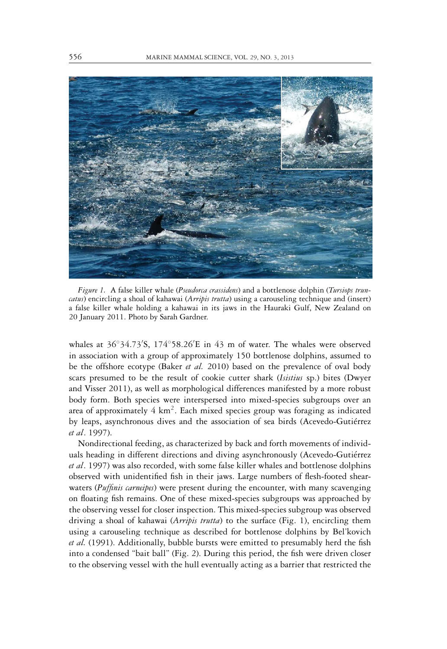

*Figure 1.* A false killer whale (*Pseudorca crassidens*) and a bottlenose dolphin (*Tursiops truncatus*) encircling a shoal of kahawai (*Arripis trutta*) using a carouseling technique and (insert) a false killer whale holding a kahawai in its jaws in the Hauraki Gulf, New Zealand on 20 January 2011. Photo by Sarah Gardner.

whales at 36°34.73'S, 174°58.26'E in 43 m of water. The whales were observed in association with a group of approximately 150 bottlenose dolphins, assumed to be the offshore ecotype (Baker *et al.* 2010) based on the prevalence of oval body scars presumed to be the result of cookie cutter shark (*Isistius* sp.) bites (Dwyer and Visser 2011), as well as morphological differences manifested by a more robust body form. Both species were interspersed into mixed-species subgroups over an area of approximately  $4 \text{ km}^2$ . Each mixed species group was foraging as indicated by leaps, asynchronous dives and the association of sea birds (Acevedo-Gutiérrez *et al*. 1997).

Nondirectional feeding, as characterized by back and forth movements of individuals heading in different directions and diving asynchronously (Acevedo-Gutiérrez *et al*. 1997) was also recorded, with some false killer whales and bottlenose dolphins observed with unidentified fish in their jaws. Large numbers of flesh-footed shearwaters (*Puffinis carneipes*) were present during the encounter, with many scavenging on floating fish remains. One of these mixed-species subgroups was approached by the observing vessel for closer inspection. This mixed-species subgroup was observed driving a shoal of kahawai (*Arripis trutta*) to the surface (Fig. 1), encircling them using a carouseling technique as described for bottlenose dolphins by Bel'kovich *et al.* (1991). Additionally, bubble bursts were emitted to presumably herd the fish into a condensed "bait ball" (Fig. 2). During this period, the fish were driven closer to the observing vessel with the hull eventually acting as a barrier that restricted the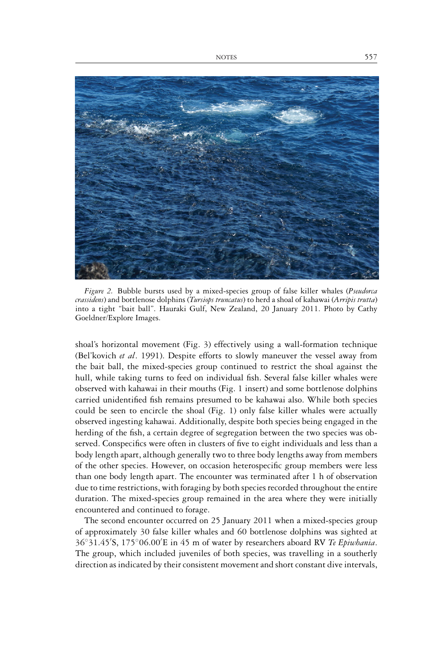

*Figure 2.* Bubble bursts used by a mixed-species group of false killer whales (*Pseudorca crassidens*) and bottlenose dolphins (*Tursiops truncatus*) to herd a shoal of kahawai (*Arripis trutta*) into a tight "bait ball". Hauraki Gulf, New Zealand, 20 January 2011. Photo by Cathy Goeldner/Explore Images.

shoal's horizontal movement (Fig. 3) effectively using a wall-formation technique (Bel'kovich *et al*. 1991). Despite efforts to slowly maneuver the vessel away from the bait ball, the mixed-species group continued to restrict the shoal against the hull, while taking turns to feed on individual fish. Several false killer whales were observed with kahawai in their mouths (Fig. 1 insert) and some bottlenose dolphins carried unidentified fish remains presumed to be kahawai also. While both species could be seen to encircle the shoal (Fig. 1) only false killer whales were actually observed ingesting kahawai. Additionally, despite both species being engaged in the herding of the fish, a certain degree of segregation between the two species was observed. Conspecifics were often in clusters of five to eight individuals and less than a body length apart, although generally two to three body lengths away from members of the other species. However, on occasion heterospecific group members were less than one body length apart. The encounter was terminated after 1 h of observation due to time restrictions, with foraging by both species recorded throughout the entire duration. The mixed-species group remained in the area where they were initially encountered and continued to forage.

The second encounter occurred on 25 January 2011 when a mixed-species group of approximately 30 false killer whales and 60 bottlenose dolphins was sighted at 36◦31.45" S, 175◦06.00" E in 45 m of water by researchers aboard RV *Te Epiwhania*. The group, which included juveniles of both species, was travelling in a southerly direction as indicated by their consistent movement and short constant dive intervals,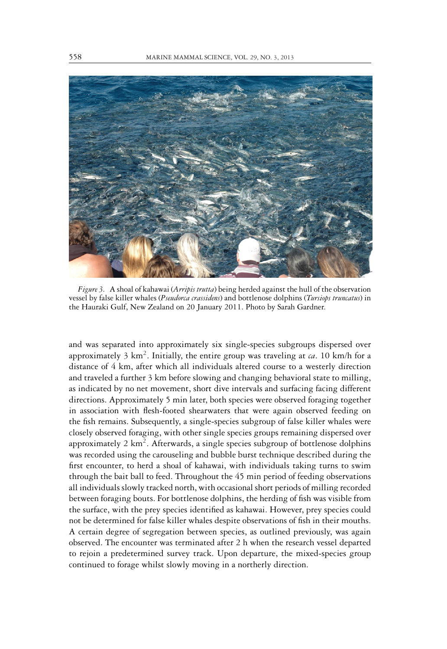

*Figure 3.* A shoal of kahawai (*Arripis trutta*) being herded against the hull of the observation vessel by false killer whales (*Pseudorca crassidens*) and bottlenose dolphins (*Tursiops truncatus*) in the Hauraki Gulf, New Zealand on 20 January 2011. Photo by Sarah Gardner.

and was separated into approximately six single-species subgroups dispersed over approximately 3 km<sup>2</sup>. Initially, the entire group was traveling at *ca*. 10 km/h for a distance of 4 km, after which all individuals altered course to a westerly direction and traveled a further 3 km before slowing and changing behavioral state to milling, as indicated by no net movement, short dive intervals and surfacing facing different directions. Approximately 5 min later, both species were observed foraging together in association with flesh-footed shearwaters that were again observed feeding on the fish remains. Subsequently, a single-species subgroup of false killer whales were closely observed foraging, with other single species groups remaining dispersed over approximately 2  $km^2$ . Afterwards, a single species subgroup of bottlenose dolphins was recorded using the carouseling and bubble burst technique described during the first encounter, to herd a shoal of kahawai, with individuals taking turns to swim through the bait ball to feed. Throughout the 45 min period of feeding observations all individuals slowly tracked north, with occasional short periods of milling recorded between foraging bouts. For bottlenose dolphins, the herding of fish was visible from the surface, with the prey species identified as kahawai. However, prey species could not be determined for false killer whales despite observations of fish in their mouths. A certain degree of segregation between species, as outlined previously, was again observed. The encounter was terminated after 2 h when the research vessel departed to rejoin a predetermined survey track. Upon departure, the mixed-species group continued to forage whilst slowly moving in a northerly direction.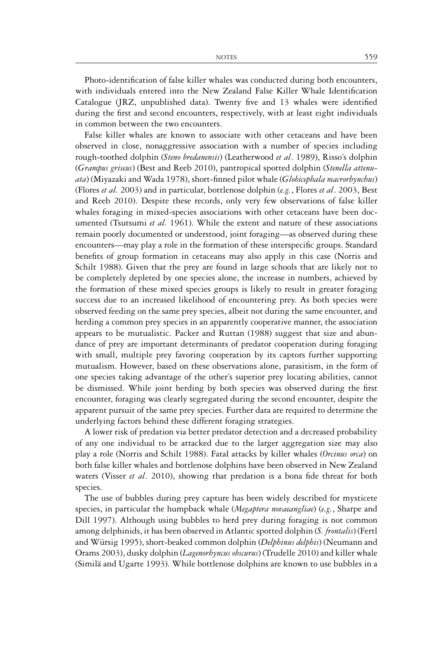Photo-identification of false killer whales was conducted during both encounters, with individuals entered into the New Zealand False Killer Whale Identification Catalogue (JRZ, unpublished data). Twenty five and 13 whales were identified during the first and second encounters, respectively, with at least eight individuals in common between the two encounters.

False killer whales are known to associate with other cetaceans and have been observed in close, nonaggressive association with a number of species including rough-toothed dolphin (*Steno bredanensis*) (Leatherwood *et al*. 1989), Risso's dolphin (*Grampus griseus*) (Best and Reeb 2010), pantropical spotted dolphin (*Stenella attenuata*) (Miyazaki and Wada 1978), short-finned pilot whale (*Globicephala macrorhynchus*) (Flores *et al.* 2003) and in particular, bottlenose dolphin (*e.g.*, Flores *et al*. 2003, Best and Reeb 2010). Despite these records, only very few observations of false killer whales foraging in mixed-species associations with other cetaceans have been documented (Tsutsumi *et al.* 1961). While the extent and nature of these associations remain poorly documented or understood, joint foraging—as observed during these encounters—may play a role in the formation of these interspecific groups. Standard benefits of group formation in cetaceans may also apply in this case (Norris and Schilt 1988). Given that the prey are found in large schools that are likely not to be completely depleted by one species alone, the increase in numbers, achieved by the formation of these mixed species groups is likely to result in greater foraging success due to an increased likelihood of encountering prey. As both species were observed feeding on the same prey species, albeit not during the same encounter, and herding a common prey species in an apparently cooperative manner, the association appears to be mutualistic. Packer and Ruttan (1988) suggest that size and abundance of prey are important determinants of predator cooperation during foraging with small, multiple prey favoring cooperation by its captors further supporting mutualism. However, based on these observations alone, parasitism, in the form of one species taking advantage of the other's superior prey locating abilities, cannot be dismissed. While joint herding by both species was observed during the first encounter, foraging was clearly segregated during the second encounter, despite the apparent pursuit of the same prey species. Further data are required to determine the underlying factors behind these different foraging strategies.

A lower risk of predation via better predator detection and a decreased probability of any one individual to be attacked due to the larger aggregation size may also play a role (Norris and Schilt 1988). Fatal attacks by killer whales (*Orcinus orca*) on both false killer whales and bottlenose dolphins have been observed in New Zealand waters (Visser *et al*. 2010), showing that predation is a bona fide threat for both species.

The use of bubbles during prey capture has been widely described for mysticete species, in particular the humpback whale (*Megaptera novaeangliae*) (*e.g.*, Sharpe and Dill 1997). Although using bubbles to herd prey during foraging is not common among delphinids, it has been observed in Atlantic spotted dolphin (*S. frontalis*) (Fertl and Würsig 1995), short-beaked common dolphin (Delphinus delphis) (Neumann and Orams 2003), dusky dolphin (*Lagenorhyncus obscurus*) (Trudelle 2010) and killer whale (Similä and Ugarte 1993). While bottlenose dolphins are known to use bubbles in a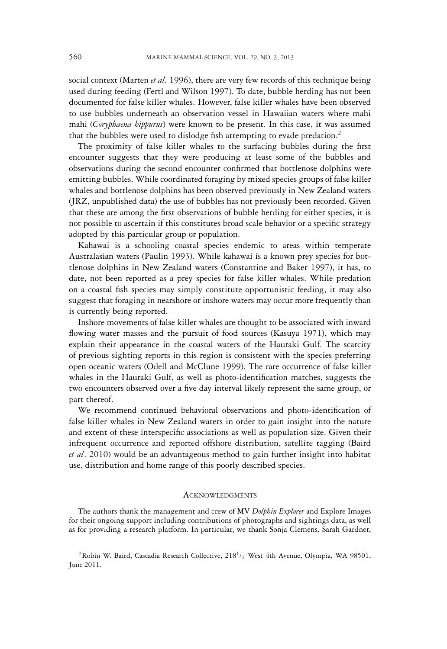social context (Marten *et al.* 1996), there are very few records of this technique being used during feeding (Fertl and Wilson 1997). To date, bubble herding has not been documented for false killer whales. However, false killer whales have been observed to use bubbles underneath an observation vessel in Hawaiian waters where mahi mahi (*Coryphaena hippurus*) were known to be present. In this case, it was assumed that the bubbles were used to dislodge fish attempting to evade predation.<sup>2</sup>

The proximity of false killer whales to the surfacing bubbles during the first encounter suggests that they were producing at least some of the bubbles and observations during the second encounter confirmed that bottlenose dolphins were emitting bubbles. While coordinated foraging by mixed species groups of false killer whales and bottlenose dolphins has been observed previously in New Zealand waters (JRZ, unpublished data) the use of bubbles has not previously been recorded. Given that these are among the first observations of bubble herding for either species, it is not possible to ascertain if this constitutes broad scale behavior or a specific strategy adopted by this particular group or population.

Kahawai is a schooling coastal species endemic to areas within temperate Australasian waters (Paulin 1993). While kahawai is a known prey species for bottlenose dolphins in New Zealand waters (Constantine and Baker 1997), it has, to date, not been reported as a prey species for false killer whales. While predation on a coastal fish species may simply constitute opportunistic feeding, it may also suggest that foraging in nearshore or inshore waters may occur more frequently than is currently being reported.

Inshore movements of false killer whales are thought to be associated with inward flowing water masses and the pursuit of food sources (Kasuya 1971), which may explain their appearance in the coastal waters of the Hauraki Gulf. The scarcity of previous sighting reports in this region is consistent with the species preferring open oceanic waters (Odell and McClune 1999). The rare occurrence of false killer whales in the Hauraki Gulf, as well as photo-identification matches, suggests the two encounters observed over a five day interval likely represent the same group, or part thereof.

We recommend continued behavioral observations and photo-identification of false killer whales in New Zealand waters in order to gain insight into the nature and extent of these interspecific associations as well as population size. Given their infrequent occurrence and reported offshore distribution, satellite tagging (Baird *et al*. 2010) would be an advantageous method to gain further insight into habitat use, distribution and home range of this poorly described species.

## **ACKNOWLEDGMENTS**

The authors thank the management and crew of MV *Dolphin Explorer* and Explore Images for their ongoing support including contributions of photographs and sightings data, as well as for providing a research platform. In particular, we thank Sonja Clemens, Sarah Gardner,

<sup>2</sup>Robin W. Baird, Cascadia Research Collective,  $218^{1/2}$  West 4th Avenue, Olympia, WA 98501, June 2011.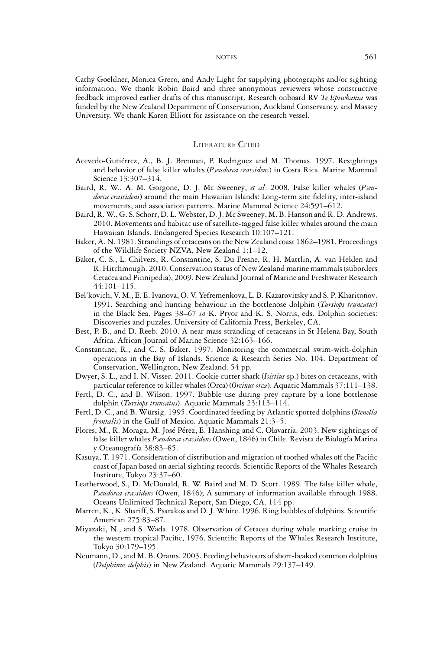Cathy Goeldner, Monica Greco, and Andy Light for supplying photographs and/or sighting information. We thank Robin Baird and three anonymous reviewers whose constructive feedback improved earlier drafts of this manuscript. Research onboard RV *Te Epiwhania* was funded by the New Zealand Department of Conservation, Auckland Conservancy, and Massey University. We thank Karen Elliott for assistance on the research vessel.

## LITERATURE CITED

- Acevedo-Gutiérrez, A., B. J. Brennan, P. Rodriguez and M. Thomas. 1997. Resightings and behavior of false killer whales (*Pseudorca crassidens*) in Costa Rica. Marine Mammal Science 13:307–314.
- Baird, R. W., A. M. Gorgone, D. J. Mc Sweeney, *et al*. 2008. False killer whales (*Pseudorca crassidens*) around the main Hawaiian Islands: Long-term site fidelity, inter-island movements, and association patterns. Marine Mammal Science 24:591–612.
- Baird, R.W., G. S. Schorr, D. L.Webster, D. J. Mc Sweeney, M. B. Hanson and R. D. Andrews. 2010. Movements and habitat use of satellite-tagged false killer whales around the main Hawaiian Islands. Endangered Species Research 10:107–121.
- Baker, A. N. 1981. Strandings of cetaceans on the New Zealand coast 1862–1981. Proceedings of the Wildlife Society NZVA, New Zealand 1:1–12.
- Baker, C. S., L. Chilvers, R. Constantine, S. Du Fresne, R. H. Mattlin, A. van Helden and R. Hitchmough. 2010. Conservation status of New Zealand marine mammals (suborders Cetacea and Pinnipedia), 2009. New Zealand Journal of Marine and Freshwater Research 44:101–115.
- Bel'kovich, V. M., E. E. Ivanova, O. V. Yefremenkova, L. B. Kazarovitsky and S. P. Kharitonov. 1991. Searching and hunting behaviour in the bottlenose dolphin (*Tursiops truncatus*) in the Black Sea. Pages 38–67 *in* K. Pryor and K. S. Norris, eds. Dolphin societies: Discoveries and puzzles. University of California Press, Berkeley, CA.
- Best, P. B., and D. Reeb. 2010. A near mass stranding of cetaceans in St Helena Bay, South Africa. African Journal of Marine Science 32:163–166.
- Constantine, R., and C. S. Baker. 1997. Monitoring the commercial swim-with-dolphin operations in the Bay of Islands. Science & Research Series No. 104. Department of Conservation, Wellington, New Zealand. 54 pp.
- Dwyer, S. L., and I. N. Visser. 2011. Cookie cutter shark (*Isistius* sp.) bites on cetaceans, with particular reference to killer whales (Orca) (*Orcinus orca*). Aquatic Mammals 37:111–138.
- Fertl, D. C., and B. Wilson. 1997. Bubble use during prey capture by a lone bottlenose dolphin (*Tursiops truncatus*). Aquatic Mammals 23:113–114.
- Fertl, D. C., and B. Würsig. 1995. Coordinated feeding by Atlantic spotted dolphins (Stenella *frontalis*) in the Gulf of Mexico. Aquatic Mammals 21:3–5.
- Flores, M., R. Moraga, M. José Pérez, E. Hanshing and C. Olavarría. 2003. New sightings of false killer whales *Pseudorca crassidens* (Owen, 1846) in Chile. Revista de Biología Marina y Oceanografía 38:83-85.
- Kasuya, T. 1971. Consideration of distribution and migration of toothed whales off the Pacific coast of Japan based on aerial sighting records. Scientific Reports of the Whales Research Institute, Tokyo 23:37–60.
- Leatherwood, S., D. McDonald, R. W. Baird and M. D. Scott. 1989. The false killer whale, *Pseudorca crassidens* (Owen, 1846); A summary of information available through 1988. Oceans Unlimited Technical Report, San Diego, CA. 114 pp.
- Marten, K., K. Shariff, S. Psarakos and D. J. White. 1996. Ring bubbles of dolphins. Scientific American 275:83–87.
- Miyazaki, N., and S. Wada. 1978. Observation of Cetacea during whale marking cruise in the western tropical Pacific, 1976. Scientific Reports of the Whales Research Institute, Tokyo 30:179–195.
- Neumann, D., and M. B. Orams. 2003. Feeding behaviours of short-beaked common dolphins (*Delphinus delphis*) in New Zealand. Aquatic Mammals 29:137–149.